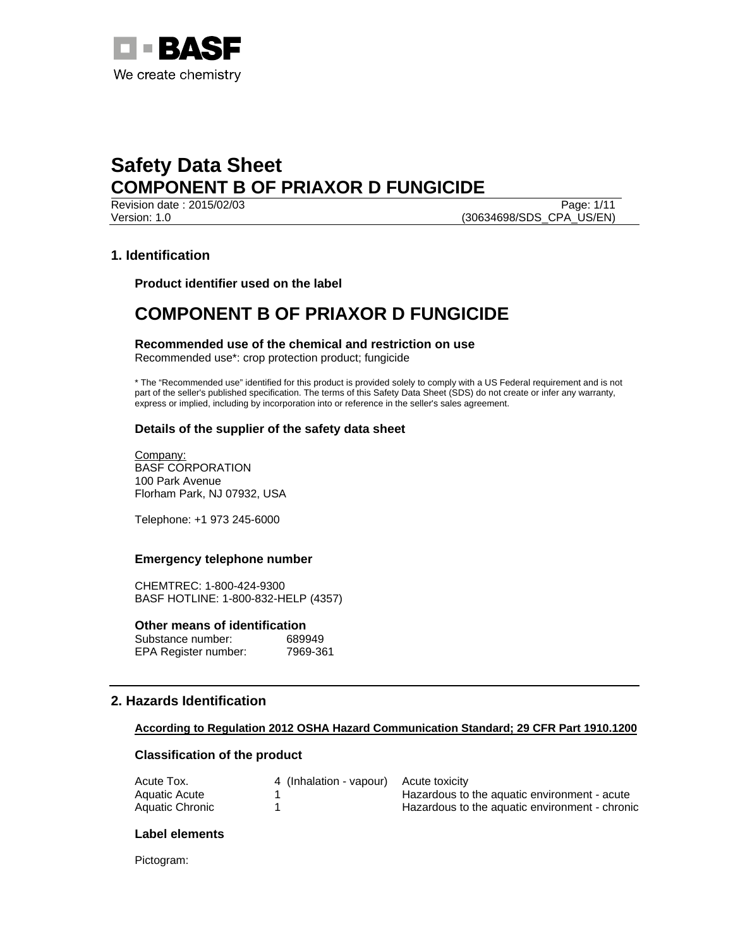

Version: 1.0 (30634698/SDS\_CPA\_US/EN)

Revision date : 2015/02/03 Page: 1/11

# **1. Identification**

**Product identifier used on the label** 

# **COMPONENT B OF PRIAXOR D FUNGICIDE**

**Recommended use of the chemical and restriction on use**  Recommended use\*: crop protection product; fungicide

\* The "Recommended use" identified for this product is provided solely to comply with a US Federal requirement and is not part of the seller's published specification. The terms of this Safety Data Sheet (SDS) do not create or infer any warranty, express or implied, including by incorporation into or reference in the seller's sales agreement.

## **Details of the supplier of the safety data sheet**

Company: BASF CORPORATION 100 Park Avenue Florham Park, NJ 07932, USA

Telephone: +1 973 245-6000

## **Emergency telephone number**

CHEMTREC: 1-800-424-9300 BASF HOTLINE: 1-800-832-HELP (4357)

**Other means of identification** 

| Substance number:    | 689949   |
|----------------------|----------|
| EPA Register number: | 7969-361 |

# **2. Hazards Identification**

## **According to Regulation 2012 OSHA Hazard Communication Standard; 29 CFR Part 1910.1200**

## **Classification of the product**

| Acute Tox.      | 4 (Inhalation - vapour) Acute toxicity |                                                |
|-----------------|----------------------------------------|------------------------------------------------|
| Aquatic Acute   |                                        | Hazardous to the aquatic environment - acute   |
| Aquatic Chronic |                                        | Hazardous to the aquatic environment - chronic |

## **Label elements**

Pictogram: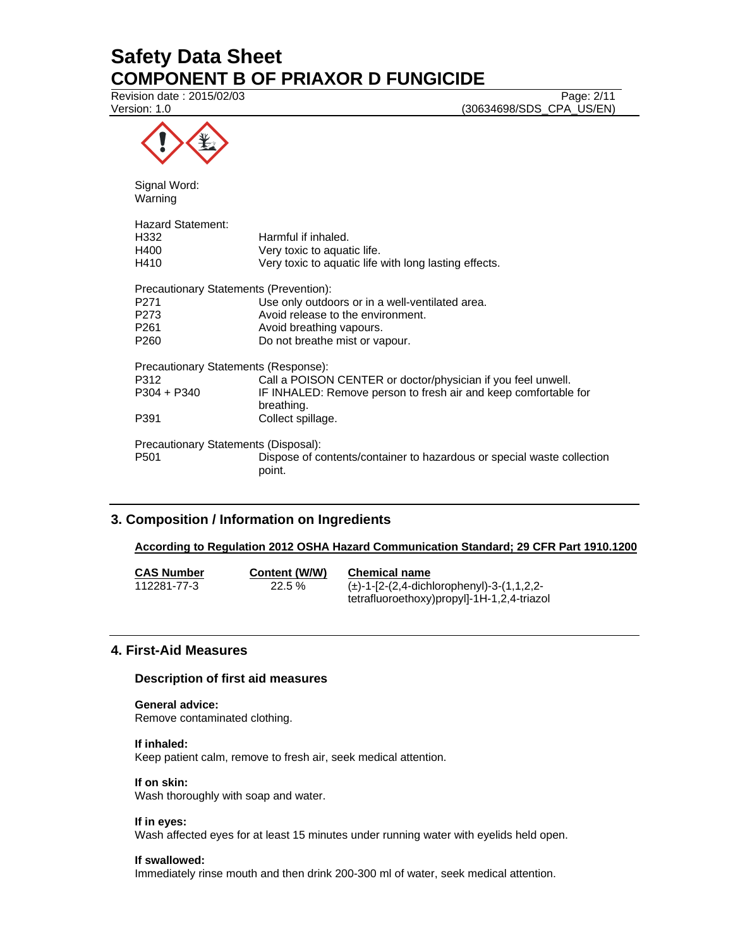Revision date : 2015/02/03 Page: 2/11

Version: 1.0 (30634698/SDS\_CPA\_US/EN)

| <br>. |   |
|-------|---|
|       | ₩ |
|       |   |

Signal Word: Warning

| <b>Hazard Statement:</b><br>H332<br>H400 | Harmful if inhaled.<br>Very toxic to aquatic life.                               |
|------------------------------------------|----------------------------------------------------------------------------------|
| H410                                     | Very toxic to aquatic life with long lasting effects.                            |
| Precautionary Statements (Prevention):   |                                                                                  |
| P271                                     | Use only outdoors or in a well-ventilated area.                                  |
| P273                                     | Avoid release to the environment.                                                |
| P261                                     | Avoid breathing vapours.                                                         |
| P260                                     | Do not breathe mist or vapour.                                                   |
| Precautionary Statements (Response):     |                                                                                  |
| P312                                     | Call a POISON CENTER or doctor/physician if you feel unwell.                     |
| P304 + P340                              | IF INHALED: Remove person to fresh air and keep comfortable for<br>breathing.    |
| P391                                     | Collect spillage.                                                                |
| Precautionary Statements (Disposal):     |                                                                                  |
| P501                                     | Dispose of contents/container to hazardous or special waste collection<br>point. |

# **3. Composition / Information on Ingredients**

## **According to Regulation 2012 OSHA Hazard Communication Standard; 29 CFR Part 1910.1200**

| <b>CAS Number</b> | Content (W/W) | <b>Chemical name</b>                           |
|-------------------|---------------|------------------------------------------------|
| 112281-77-3       | $22.5\%$      | $(\pm)$ -1-[2-(2,4-dichlorophenyl)-3-(1,1,2,2- |
|                   |               | tetrafluoroethoxy)propyl]-1H-1,2,4-triazol     |

## **4. First-Aid Measures**

## **Description of first aid measures**

# **General advice:**

Remove contaminated clothing.

## **If inhaled:**

Keep patient calm, remove to fresh air, seek medical attention.

### **If on skin:**

Wash thoroughly with soap and water.

## **If in eyes:**

Wash affected eyes for at least 15 minutes under running water with eyelids held open.

## **If swallowed:**

Immediately rinse mouth and then drink 200-300 ml of water, seek medical attention.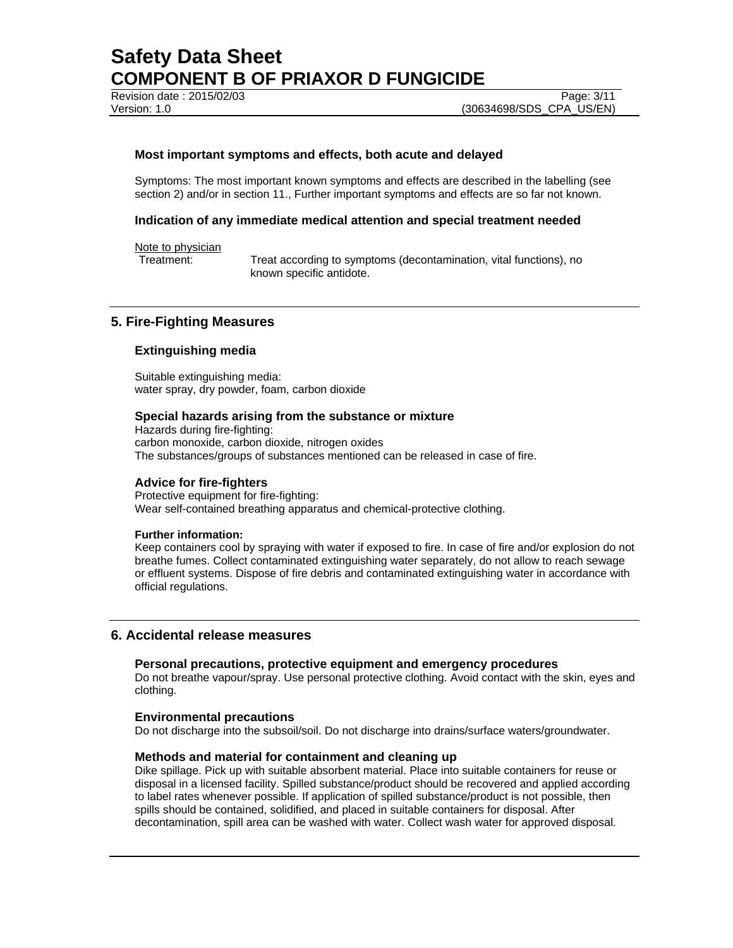Revision date : 2015/02/03 Page: 3/11

## **Most important symptoms and effects, both acute and delayed**

Symptoms: The most important known symptoms and effects are described in the labelling (see section 2) and/or in section 11., Further important symptoms and effects are so far not known.

### **Indication of any immediate medical attention and special treatment needed**

### Note to physician

Treatment: Treat according to symptoms (decontamination, vital functions), no known specific antidote.

## **5. Fire-Fighting Measures**

### **Extinguishing media**

Suitable extinguishing media: water spray, dry powder, foam, carbon dioxide

#### **Special hazards arising from the substance or mixture**

Hazards during fire-fighting: carbon monoxide, carbon dioxide, nitrogen oxides The substances/groups of substances mentioned can be released in case of fire.

#### **Advice for fire-fighters**

Protective equipment for fire-fighting: Wear self-contained breathing apparatus and chemical-protective clothing.

#### **Further information:**

Keep containers cool by spraying with water if exposed to fire. In case of fire and/or explosion do not breathe fumes. Collect contaminated extinguishing water separately, do not allow to reach sewage or effluent systems. Dispose of fire debris and contaminated extinguishing water in accordance with official regulations.

## **6. Accidental release measures**

## **Personal precautions, protective equipment and emergency procedures**

Do not breathe vapour/spray. Use personal protective clothing. Avoid contact with the skin, eyes and clothing.

#### **Environmental precautions**

Do not discharge into the subsoil/soil. Do not discharge into drains/surface waters/groundwater.

#### **Methods and material for containment and cleaning up**

Dike spillage. Pick up with suitable absorbent material. Place into suitable containers for reuse or disposal in a licensed facility. Spilled substance/product should be recovered and applied according to label rates whenever possible. If application of spilled substance/product is not possible, then spills should be contained, solidified, and placed in suitable containers for disposal. After decontamination, spill area can be washed with water. Collect wash water for approved disposal.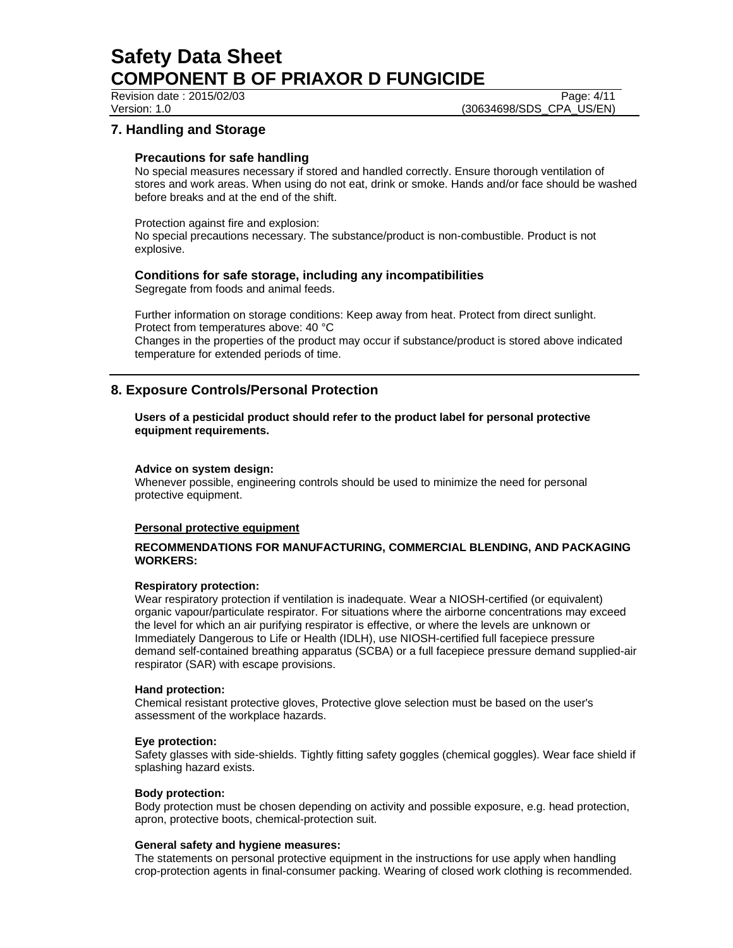Revision date : 2015/02/03 Page: 4/11

Version: 1.0 (30634698/SDS\_CPA\_US/EN)

# **7. Handling and Storage**

## **Precautions for safe handling**

No special measures necessary if stored and handled correctly. Ensure thorough ventilation of stores and work areas. When using do not eat, drink or smoke. Hands and/or face should be washed before breaks and at the end of the shift.

Protection against fire and explosion:

No special precautions necessary. The substance/product is non-combustible. Product is not explosive.

# **Conditions for safe storage, including any incompatibilities**

Segregate from foods and animal feeds.

Further information on storage conditions: Keep away from heat. Protect from direct sunlight. Protect from temperatures above: 40 °C Changes in the properties of the product may occur if substance/product is stored above indicated temperature for extended periods of time.

# **8. Exposure Controls/Personal Protection**

**Users of a pesticidal product should refer to the product label for personal protective equipment requirements.** 

## **Advice on system design:**

Whenever possible, engineering controls should be used to minimize the need for personal protective equipment.

## **Personal protective equipment**

## **RECOMMENDATIONS FOR MANUFACTURING, COMMERCIAL BLENDING, AND PACKAGING WORKERS:**

## **Respiratory protection:**

Wear respiratory protection if ventilation is inadequate. Wear a NIOSH-certified (or equivalent) organic vapour/particulate respirator. For situations where the airborne concentrations may exceed the level for which an air purifying respirator is effective, or where the levels are unknown or Immediately Dangerous to Life or Health (IDLH), use NIOSH-certified full facepiece pressure demand self-contained breathing apparatus (SCBA) or a full facepiece pressure demand supplied-air respirator (SAR) with escape provisions.

## **Hand protection:**

Chemical resistant protective gloves, Protective glove selection must be based on the user's assessment of the workplace hazards.

## **Eye protection:**

Safety glasses with side-shields. Tightly fitting safety goggles (chemical goggles). Wear face shield if splashing hazard exists.

## **Body protection:**

Body protection must be chosen depending on activity and possible exposure, e.g. head protection, apron, protective boots, chemical-protection suit.

## **General safety and hygiene measures:**

The statements on personal protective equipment in the instructions for use apply when handling crop-protection agents in final-consumer packing. Wearing of closed work clothing is recommended.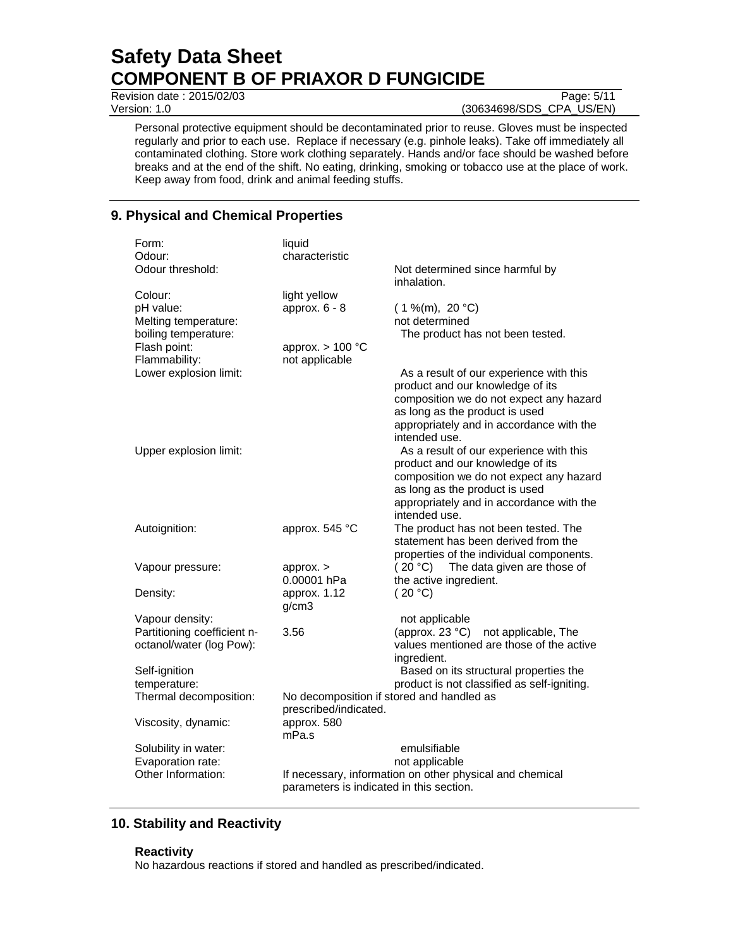**Revision date : 2015/02/03** Page: 5/11

Version: 1.0 (30634698/SDS\_CPA\_US/EN)

Personal protective equipment should be decontaminated prior to reuse. Gloves must be inspected regularly and prior to each use. Replace if necessary (e.g. pinhole leaks). Take off immediately all contaminated clothing. Store work clothing separately. Hands and/or face should be washed before breaks and at the end of the shift. No eating, drinking, smoking or tobacco use at the place of work. Keep away from food, drink and animal feeding stuffs.

# **9. Physical and Chemical Properties**

| Form:<br>Odour:<br>Odour threshold:                                                                   | liquid<br>characteristic                                                | Not determined since harmful by                                                                                                                                                                                       |
|-------------------------------------------------------------------------------------------------------|-------------------------------------------------------------------------|-----------------------------------------------------------------------------------------------------------------------------------------------------------------------------------------------------------------------|
| Colour:<br>pH value:<br>Melting temperature:<br>boiling temperature:<br>Flash point:<br>Flammability: | light yellow<br>approx. $6 - 8$<br>approx. $> 100$ °C<br>not applicable | inhalation.<br>$(1\%$ (m), 20 °C)<br>not determined<br>The product has not been tested.                                                                                                                               |
| Lower explosion limit:                                                                                |                                                                         | As a result of our experience with this<br>product and our knowledge of its<br>composition we do not expect any hazard<br>as long as the product is used<br>appropriately and in accordance with the<br>intended use. |
| Upper explosion limit:                                                                                |                                                                         | As a result of our experience with this<br>product and our knowledge of its<br>composition we do not expect any hazard<br>as long as the product is used<br>appropriately and in accordance with the<br>intended use. |
| Autoignition:                                                                                         | approx. 545 °C                                                          | The product has not been tested. The<br>statement has been derived from the<br>properties of the individual components.                                                                                               |
| Vapour pressure:                                                                                      | approx.<br>0.00001 hPa                                                  | The data given are those of<br>(20 °C)<br>the active ingredient.                                                                                                                                                      |
| Density:                                                                                              | approx. 1.12<br>g/cm3                                                   | (20 °C)                                                                                                                                                                                                               |
| Vapour density:<br>Partitioning coefficient n-<br>octanol/water (log Pow):                            | 3.56                                                                    | not applicable<br>(approx. 23 $°C$ )<br>not applicable, The<br>values mentioned are those of the active<br>ingredient.                                                                                                |
| Self-ignition<br>temperature:                                                                         |                                                                         | Based on its structural properties the<br>product is not classified as self-igniting.                                                                                                                                 |
| Thermal decomposition:                                                                                | No decomposition if stored and handled as<br>prescribed/indicated.      |                                                                                                                                                                                                                       |
| Viscosity, dynamic:                                                                                   | approx. 580<br>mPa.s                                                    |                                                                                                                                                                                                                       |
| Solubility in water:<br>Evaporation rate:<br>Other Information:                                       | parameters is indicated in this section.                                | emulsifiable<br>not applicable<br>If necessary, information on other physical and chemical                                                                                                                            |

# **10. Stability and Reactivity**

## **Reactivity**

No hazardous reactions if stored and handled as prescribed/indicated.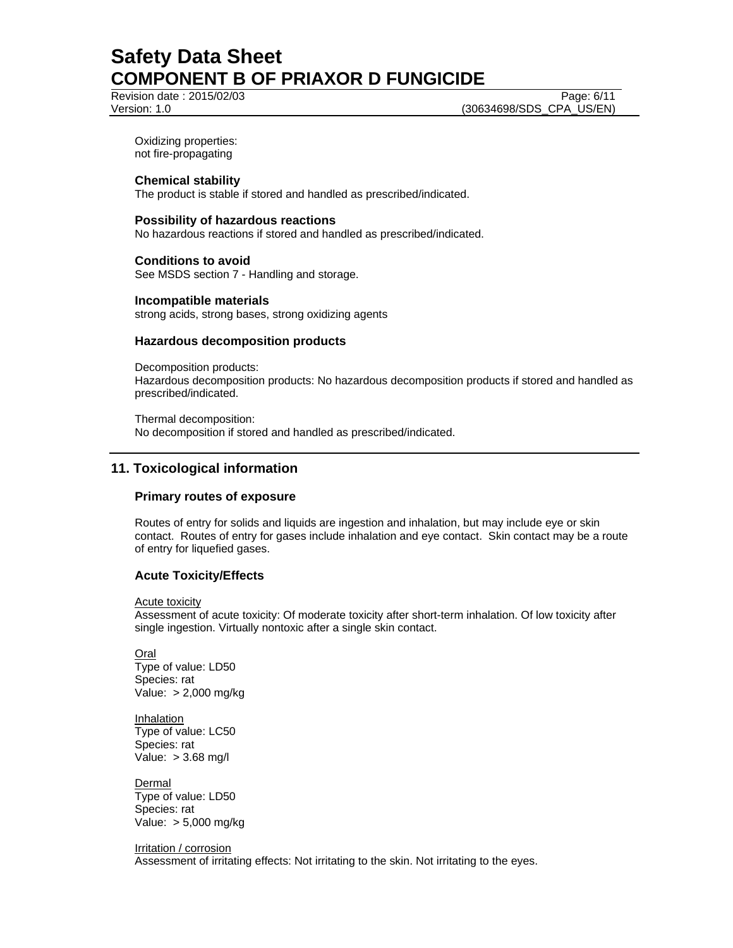Revision date : 2015/02/03 Page: 6/11

Version: 1.0 (30634698/SDS\_CPA\_US/EN)

Oxidizing properties: not fire-propagating

## **Chemical stability**

The product is stable if stored and handled as prescribed/indicated.

## **Possibility of hazardous reactions**

No hazardous reactions if stored and handled as prescribed/indicated.

# **Conditions to avoid**

See MSDS section 7 - Handling and storage.

### **Incompatible materials**

strong acids, strong bases, strong oxidizing agents

## **Hazardous decomposition products**

Decomposition products: Hazardous decomposition products: No hazardous decomposition products if stored and handled as prescribed/indicated.

Thermal decomposition: No decomposition if stored and handled as prescribed/indicated.

## **11. Toxicological information**

## **Primary routes of exposure**

Routes of entry for solids and liquids are ingestion and inhalation, but may include eye or skin contact. Routes of entry for gases include inhalation and eye contact. Skin contact may be a route of entry for liquefied gases.

## **Acute Toxicity/Effects**

Acute toxicity

Assessment of acute toxicity: Of moderate toxicity after short-term inhalation. Of low toxicity after single ingestion. Virtually nontoxic after a single skin contact.

Oral Type of value: LD50 Species: rat Value: > 2,000 mg/kg

Inhalation Type of value: LC50 Species: rat Value: > 3.68 mg/l

**Dermal** Type of value: LD50 Species: rat Value: > 5,000 mg/kg

Irritation / corrosion Assessment of irritating effects: Not irritating to the skin. Not irritating to the eyes.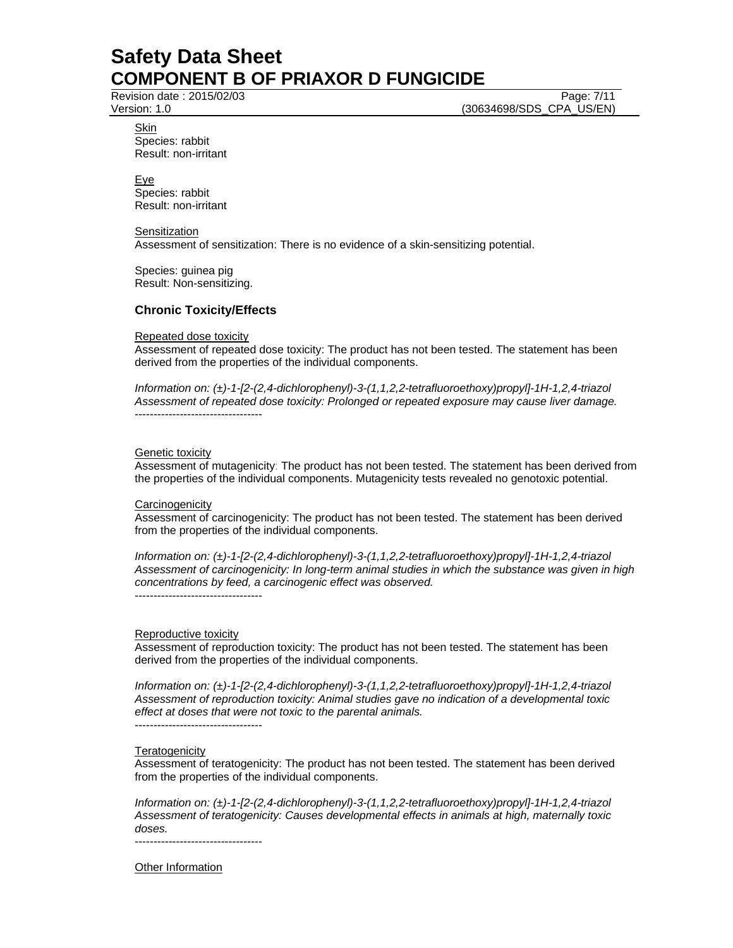Revision date : 2015/02/03 Page: 7/11

Version: 1.0 (30634698/SDS\_CPA\_US/EN)

Skin Species: rabbit Result: non-irritant

Eye Species: rabbit Result: non-irritant

**Sensitization** Assessment of sensitization: There is no evidence of a skin-sensitizing potential.

Species: guinea pig Result: Non-sensitizing.

# **Chronic Toxicity/Effects**

## Repeated dose toxicity

Assessment of repeated dose toxicity: The product has not been tested. The statement has been derived from the properties of the individual components.

*Information on: (±)-1-[2-(2,4-dichlorophenyl)-3-(1,1,2,2-tetrafluoroethoxy)propyl]-1H-1,2,4-triazol Assessment of repeated dose toxicity: Prolonged or repeated exposure may cause liver damage.*  ----------------------------------

## **Genetic toxicity**

Assessment of mutagenicity: The product has not been tested. The statement has been derived from the properties of the individual components. Mutagenicity tests revealed no genotoxic potential.

## **Carcinogenicity**

Assessment of carcinogenicity: The product has not been tested. The statement has been derived from the properties of the individual components.

*Information on: (±)-1-[2-(2,4-dichlorophenyl)-3-(1,1,2,2-tetrafluoroethoxy)propyl]-1H-1,2,4-triazol Assessment of carcinogenicity: In long-term animal studies in which the substance was given in high concentrations by feed, a carcinogenic effect was observed.*  ----------------------------------

## Reproductive toxicity

Assessment of reproduction toxicity: The product has not been tested. The statement has been derived from the properties of the individual components.

*Information on: (±)-1-[2-(2,4-dichlorophenyl)-3-(1,1,2,2-tetrafluoroethoxy)propyl]-1H-1,2,4-triazol Assessment of reproduction toxicity: Animal studies gave no indication of a developmental toxic effect at doses that were not toxic to the parental animals.* 

# ----------------------------------

## **Teratogenicity**

Assessment of teratogenicity: The product has not been tested. The statement has been derived from the properties of the individual components.

*Information on: (±)-1-[2-(2,4-dichlorophenyl)-3-(1,1,2,2-tetrafluoroethoxy)propyl]-1H-1,2,4-triazol Assessment of teratogenicity: Causes developmental effects in animals at high, maternally toxic doses.*  ----------------------------------

Other Information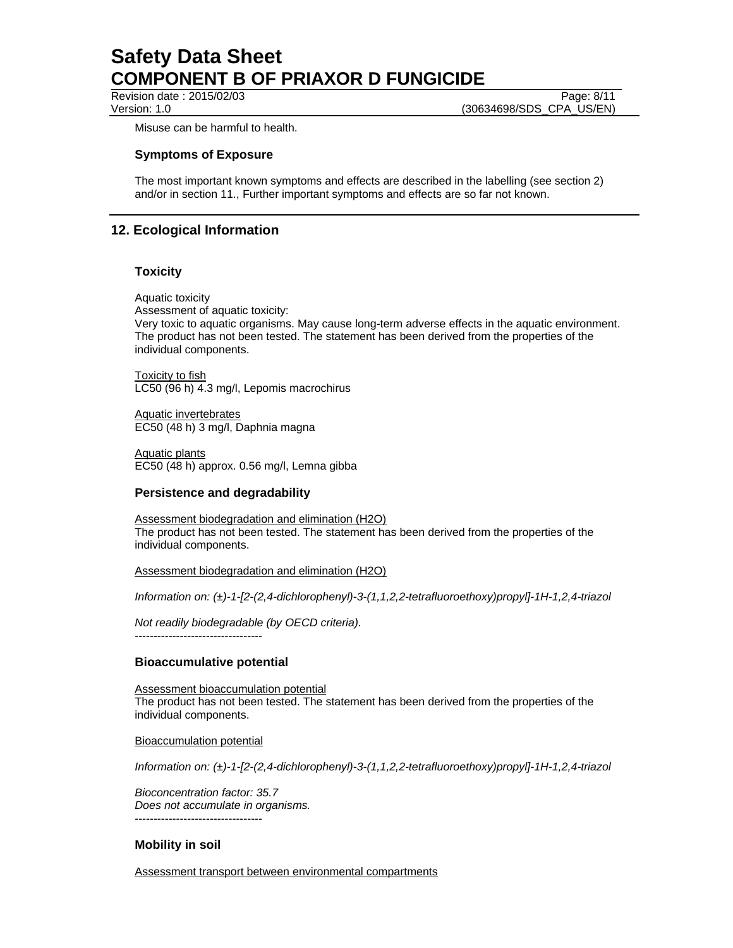Revision date : 2015/02/03 Page: 8/11

Version: 1.0 (30634698/SDS\_CPA\_US/EN)

Misuse can be harmful to health.

## **Symptoms of Exposure**

The most important known symptoms and effects are described in the labelling (see section 2) and/or in section 11., Further important symptoms and effects are so far not known.

# **12. Ecological Information**

## **Toxicity**

Aquatic toxicity Assessment of aquatic toxicity: Very toxic to aquatic organisms. May cause long-term adverse effects in the aquatic environment. The product has not been tested. The statement has been derived from the properties of the individual components.

Toxicity to fish LC50 (96 h) 4.3 mg/l, Lepomis macrochirus

Aquatic invertebrates EC50 (48 h) 3 mg/l, Daphnia magna

Aquatic plants EC50 (48 h) approx. 0.56 mg/l, Lemna gibba

## **Persistence and degradability**

Assessment biodegradation and elimination (H2O) The product has not been tested. The statement has been derived from the properties of the individual components.

Assessment biodegradation and elimination (H2O)

*Information on: (±)-1-[2-(2,4-dichlorophenyl)-3-(1,1,2,2-tetrafluoroethoxy)propyl]-1H-1,2,4-triazol* 

*Not readily biodegradable (by OECD criteria).*  ----------------------------------

## **Bioaccumulative potential**

Assessment bioaccumulation potential The product has not been tested. The statement has been derived from the properties of the individual components.

Bioaccumulation potential

----------------------------------

*Information on: (±)-1-[2-(2,4-dichlorophenyl)-3-(1,1,2,2-tetrafluoroethoxy)propyl]-1H-1,2,4-triazol* 

*Bioconcentration factor: 35.7 Does not accumulate in organisms.* 

## **Mobility in soil**

Assessment transport between environmental compartments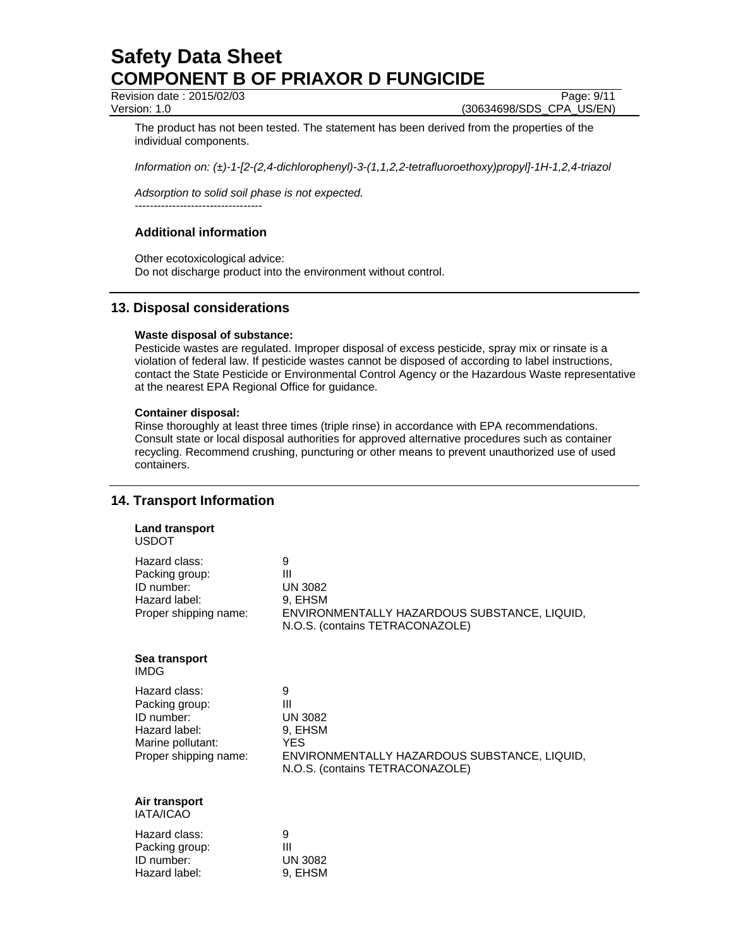Revision date : 2015/02/03 Page: 9/11

Version: 1.0 (30634698/SDS\_CPA\_US/EN)

The product has not been tested. The statement has been derived from the properties of the individual components.

*Information on: (±)-1-[2-(2,4-dichlorophenyl)-3-(1,1,2,2-tetrafluoroethoxy)propyl]-1H-1,2,4-triazol* 

*Adsorption to solid soil phase is not expected.* ----------------------------------

# **Additional information**

Other ecotoxicological advice: Do not discharge product into the environment without control.

## **13. Disposal considerations**

## **Waste disposal of substance:**

Pesticide wastes are regulated. Improper disposal of excess pesticide, spray mix or rinsate is a violation of federal law. If pesticide wastes cannot be disposed of according to label instructions, contact the State Pesticide or Environmental Control Agency or the Hazardous Waste representative at the nearest EPA Regional Office for guidance.

## **Container disposal:**

Rinse thoroughly at least three times (triple rinse) in accordance with EPA recommendations. Consult state or local disposal authorities for approved alternative procedures such as container recycling. Recommend crushing, puncturing or other means to prevent unauthorized use of used containers.

# **14. Transport Information**

| 9<br>Ш<br><b>UN 3082</b><br>9, EHSM<br>ENVIRONMENTALLY HAZARDOUS SUBSTANCE, LIQUID,<br>N.O.S. (contains TETRACONAZOLE)               |
|--------------------------------------------------------------------------------------------------------------------------------------|
|                                                                                                                                      |
| 9<br>Ш<br><b>UN 3082</b><br>9, EHSM<br><b>YES</b><br>ENVIRONMENTALLY HAZARDOUS SUBSTANCE, LIQUID,<br>N.O.S. (contains TETRACONAZOLE) |
|                                                                                                                                      |
| 9<br>$\mathbf{III}$<br><b>UN 3082</b><br>9, EHSM                                                                                     |
|                                                                                                                                      |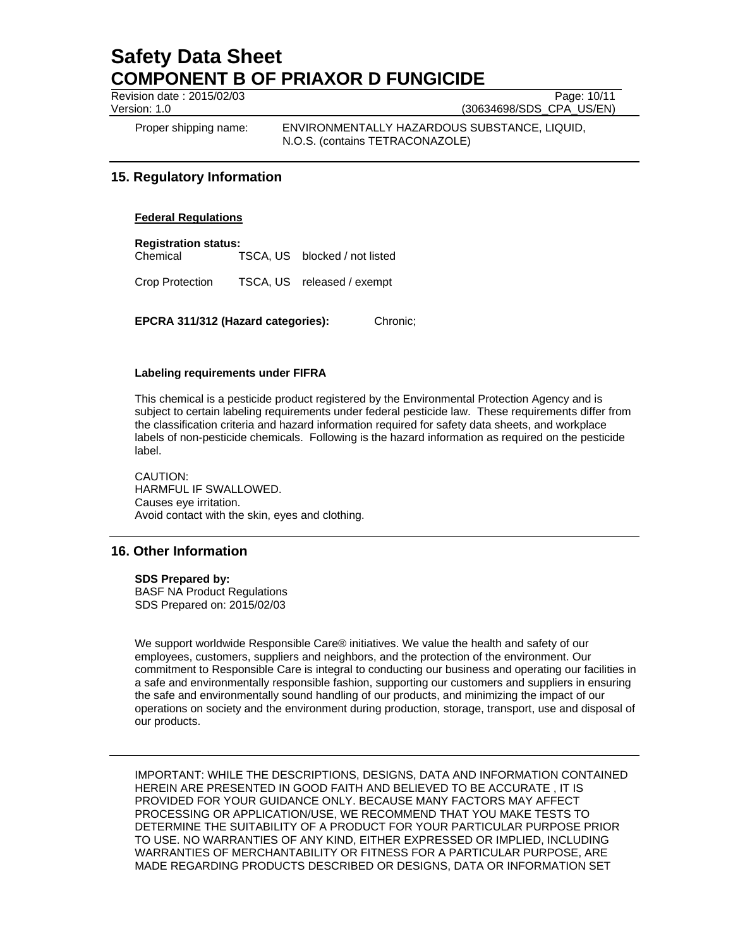Revision date : 2015/02/03 Page: 10/11

Version: 1.0 (30634698/SDS\_CPA\_US/EN)

Proper shipping name: ENVIRONMENTALLY HAZARDOUS SUBSTANCE, LIQUID, N.O.S. (contains TETRACONAZOLE)

# **15. Regulatory Information**

## **Federal Regulations**

**Registration status:** 

Chemical TSCA, US blocked / not listed

Crop Protection TSCA, US released / exempt

**EPCRA 311/312 (Hazard categories):** Chronic;

### **Labeling requirements under FIFRA**

This chemical is a pesticide product registered by the Environmental Protection Agency and is subject to certain labeling requirements under federal pesticide law. These requirements differ from the classification criteria and hazard information required for safety data sheets, and workplace labels of non-pesticide chemicals. Following is the hazard information as required on the pesticide label.

CAUTION: HARMFUL IF SWALLOWED. Causes eye irritation. Avoid contact with the skin, eyes and clothing.

## **16. Other Information**

#### **SDS Prepared by:**

BASF NA Product Regulations SDS Prepared on: 2015/02/03

We support worldwide Responsible Care® initiatives. We value the health and safety of our employees, customers, suppliers and neighbors, and the protection of the environment. Our commitment to Responsible Care is integral to conducting our business and operating our facilities in a safe and environmentally responsible fashion, supporting our customers and suppliers in ensuring the safe and environmentally sound handling of our products, and minimizing the impact of our operations on society and the environment during production, storage, transport, use and disposal of our products.

IMPORTANT: WHILE THE DESCRIPTIONS, DESIGNS, DATA AND INFORMATION CONTAINED HEREIN ARE PRESENTED IN GOOD FAITH AND BELIEVED TO BE ACCURATE , IT IS PROVIDED FOR YOUR GUIDANCE ONLY. BECAUSE MANY FACTORS MAY AFFECT PROCESSING OR APPLICATION/USE, WE RECOMMEND THAT YOU MAKE TESTS TO DETERMINE THE SUITABILITY OF A PRODUCT FOR YOUR PARTICULAR PURPOSE PRIOR TO USE. NO WARRANTIES OF ANY KIND, EITHER EXPRESSED OR IMPLIED, INCLUDING WARRANTIES OF MERCHANTABILITY OR FITNESS FOR A PARTICULAR PURPOSE, ARE MADE REGARDING PRODUCTS DESCRIBED OR DESIGNS, DATA OR INFORMATION SET